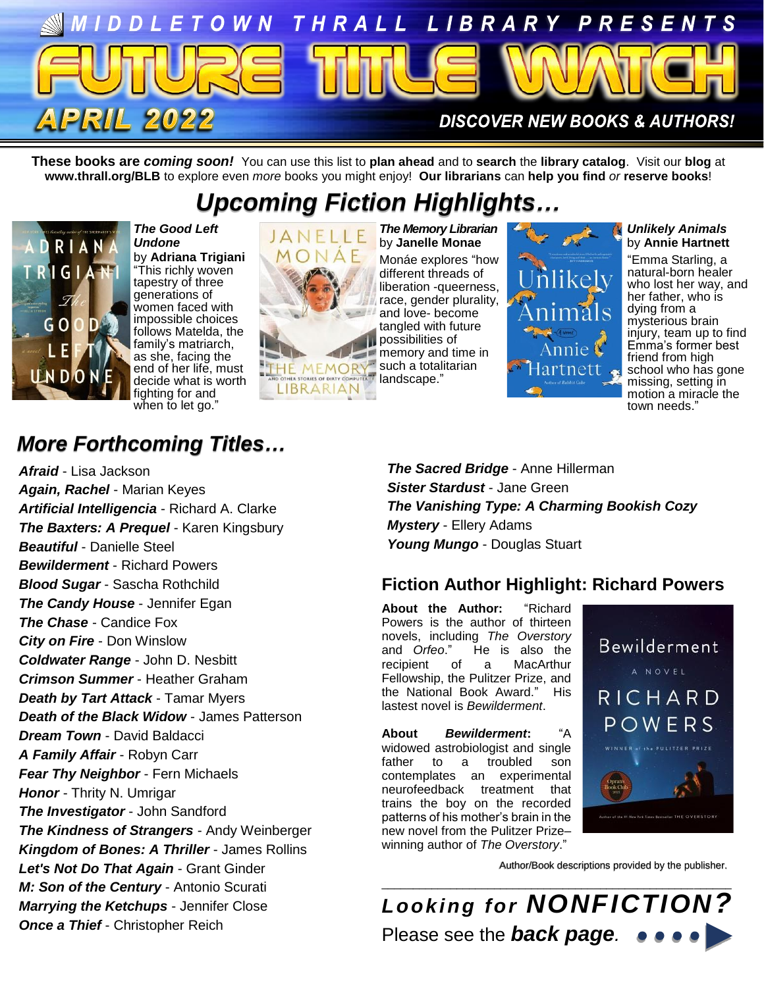

**These books are** *coming soon!* You can use this list to **plan ahead** and to **search** the **library catalog**. Visit our **blog** at **www.thrall.org/BLB** to explore even *more* books you might enjoy! **Our librarians** can **help you find** *or* **reserve books**!

# *Upcoming Fiction Highlights…*



*The Good Left Undone* by **Adriana Trigiani** "This richly woven tapestry of three generations of women faced with impossible choices follows Matelda, the family's matriarch, as she, facing the end of her life, must decide what is worth fighting for and when to let go."



*The Memory Librarian* by **Janelle Monae** Monáe explores "how different threads of liberation -queerness, race, gender plurality, and love- become tangled with future possibilities of memory and time in such a totalitarian



#### *Unlikely Animals* by **Annie Hartnett**

"Emma Starling, a natural-born healer who lost her way, and her father, who is dying from a mysterious brain injury, team up to find Emma's former best friend from high school who has gone missing, setting in motion a miracle the town needs."

## *More Forthcoming Titles…*

*Afraid* - Lisa Jackson *Again, Rachel* - Marian Keyes *Artificial Intelligencia* - Richard A. Clarke *The Baxters: A Prequel* - Karen Kingsbury *Beautiful* - Danielle Steel *Bewilderment* - Richard Powers *Blood Sugar* - Sascha Rothchild *The Candy House* - Jennifer Egan *The Chase* - Candice Fox *City on Fire* - Don Winslow *Coldwater Range* - John D. Nesbitt *Crimson Summer* - Heather Graham *Death by Tart Attack* - Tamar Myers *Death of the Black Widow* - James Patterson *Dream Town* - David Baldacci *A Family Affair* - Robyn Carr *Fear Thy Neighbor* - Fern Michaels *Honor* - Thrity N. Umrigar *The Investigator* - John Sandford *The Kindness of Strangers* - Andy Weinberger *Kingdom of Bones: A Thriller* - James Rollins *Let's Not Do That Again* - Grant Ginder *M: Son of the Century* - Antonio Scurati *Marrying the Ketchups* - Jennifer Close *Once a Thief* - Christopher Reich

*The Sacred Bridge* - Anne Hillerman *Sister Stardust* - Jane Green *The Vanishing Type: A Charming Bookish Cozy Mystery* - Ellery Adams *Young Mungo* - Douglas Stuart

## **Fiction Author Highlight: Richard Powers**

**About the Author:** "Richard Powers is the author of thirteen novels, including *The Overstory* and *Orfeo*." He is also the recipient of a MacArthur Fellowship, the Pulitzer Prize, and the National Book Award." His lastest novel is *Bewilderment*.

**About** *Bewilderment***:** "A widowed astrobiologist and single father to a troubled son contemplates an experimental neurofeedback treatment that trains the boy on the recorded patterns of his mother's brain in the new novel from the Pulitzer Prize– winning author of *The Overstory*."



Author/Book descriptions provided by the publisher.

\_\_\_\_\_\_\_\_\_\_\_\_\_\_\_\_\_\_\_\_\_\_\_\_\_\_\_\_\_\_\_\_\_\_\_\_\_\_\_\_\_\_\_\_\_\_\_\_\_\_\_\_\_\_\_\_ *Looking for NONFICTION?* Please see the *back page.*